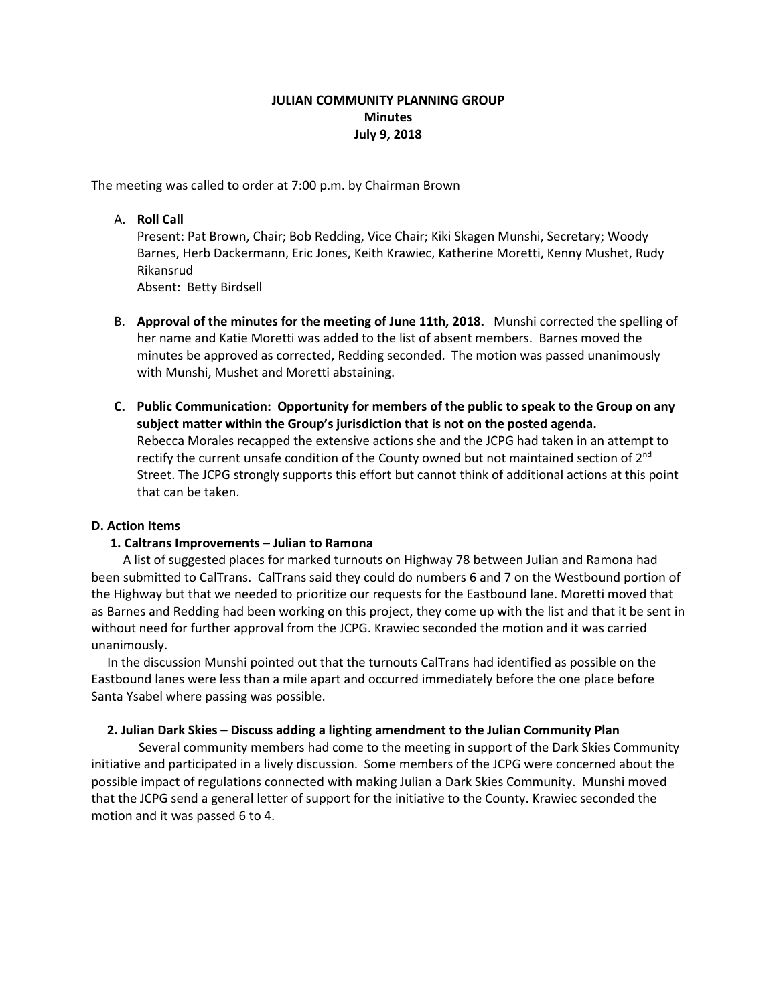# **JULIAN COMMUNITY PLANNING GROUP Minutes July 9, 2018**

The meeting was called to order at 7:00 p.m. by Chairman Brown

## A. **Roll Call**

Present: Pat Brown, Chair; Bob Redding, Vice Chair; Kiki Skagen Munshi, Secretary; Woody Barnes, Herb Dackermann, Eric Jones, Keith Krawiec, Katherine Moretti, Kenny Mushet, Rudy Rikansrud

Absent: Betty Birdsell

- B. **Approval of the minutes for the meeting of June 11th, 2018.** Munshi corrected the spelling of her name and Katie Moretti was added to the list of absent members. Barnes moved the minutes be approved as corrected, Redding seconded. The motion was passed unanimously with Munshi, Mushet and Moretti abstaining.
- **C. Public Communication: Opportunity for members of the public to speak to the Group on any subject matter within the Group's jurisdiction that is not on the posted agenda.**  Rebecca Morales recapped the extensive actions she and the JCPG had taken in an attempt to rectify the current unsafe condition of the County owned but not maintained section of 2<sup>nd</sup> Street. The JCPG strongly supports this effort but cannot think of additional actions at this point that can be taken.

# **D. Action Items**

# **1. Caltrans Improvements – Julian to Ramona**

A list of suggested places for marked turnouts on Highway 78 between Julian and Ramona had been submitted to CalTrans. CalTrans said they could do numbers 6 and 7 on the Westbound portion of the Highway but that we needed to prioritize our requests for the Eastbound lane. Moretti moved that as Barnes and Redding had been working on this project, they come up with the list and that it be sent in without need for further approval from the JCPG. Krawiec seconded the motion and it was carried unanimously.

 In the discussion Munshi pointed out that the turnouts CalTrans had identified as possible on the Eastbound lanes were less than a mile apart and occurred immediately before the one place before Santa Ysabel where passing was possible.

### **2. Julian Dark Skies – Discuss adding a lighting amendment to the Julian Community Plan**

Several community members had come to the meeting in support of the Dark Skies Community initiative and participated in a lively discussion. Some members of the JCPG were concerned about the possible impact of regulations connected with making Julian a Dark Skies Community. Munshi moved that the JCPG send a general letter of support for the initiative to the County. Krawiec seconded the motion and it was passed 6 to 4.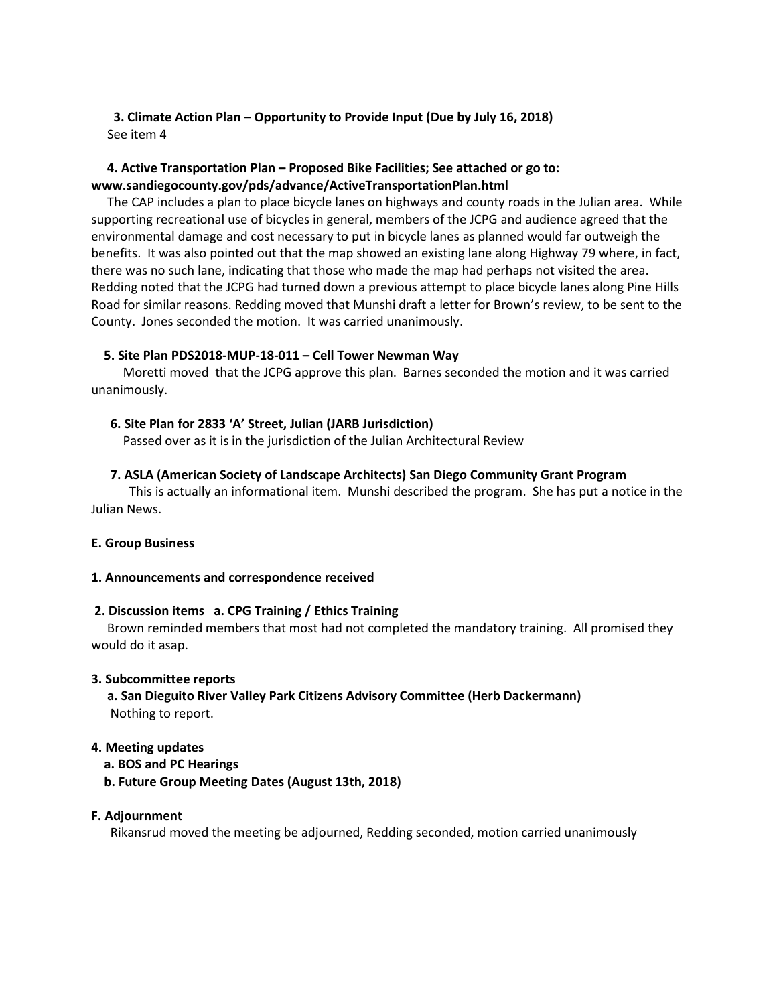# **3. Climate Action Plan – Opportunity to Provide Input (Due by July 16, 2018)** See item 4

# **4. Active Transportation Plan – Proposed Bike Facilities; See attached or go to: www.sandiegocounty.gov/pds/advance/ActiveTransportationPlan.html**

The CAP includes a plan to place bicycle lanes on highways and county roads in the Julian area. While supporting recreational use of bicycles in general, members of the JCPG and audience agreed that the environmental damage and cost necessary to put in bicycle lanes as planned would far outweigh the benefits. It was also pointed out that the map showed an existing lane along Highway 79 where, in fact, there was no such lane, indicating that those who made the map had perhaps not visited the area. Redding noted that the JCPG had turned down a previous attempt to place bicycle lanes along Pine Hills Road for similar reasons. Redding moved that Munshi draft a letter for Brown's review, to be sent to the County. Jones seconded the motion. It was carried unanimously.

## **5. Site Plan PDS2018-MUP-18-011 – Cell Tower Newman Way**

 Moretti moved that the JCPG approve this plan. Barnes seconded the motion and it was carried unanimously.

## **6. Site Plan for 2833 'A' Street, Julian (JARB Jurisdiction)**

Passed over as it is in the jurisdiction of the Julian Architectural Review

## **7. ASLA (American Society of Landscape Architects) San Diego Community Grant Program**

This is actually an informational item. Munshi described the program. She has put a notice in the Julian News.

### **E. Group Business**

### **1. Announcements and correspondence received**

### **2. Discussion items a. CPG Training / Ethics Training**

Brown reminded members that most had not completed the mandatory training. All promised they would do it asap.

### **3. Subcommittee reports**

 **a. San Dieguito River Valley Park Citizens Advisory Committee (Herb Dackermann)** Nothing to report.

### **4. Meeting updates**

- **a. BOS and PC Hearings**
- **b. Future Group Meeting Dates (August 13th, 2018)**

# **F. Adjournment**

Rikansrud moved the meeting be adjourned, Redding seconded, motion carried unanimously